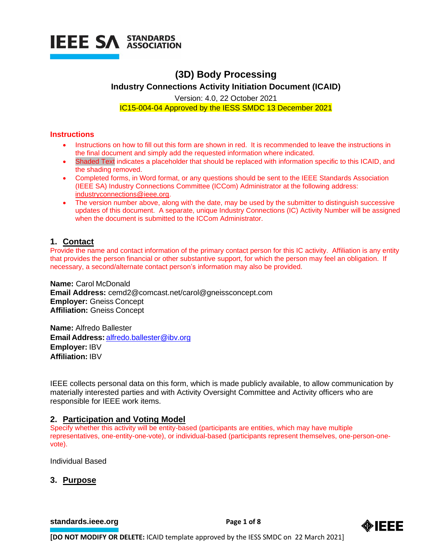

# **(3D) Body Processing**

**Industry Connections Activity Initiation Document (ICAID)**

Version: 4.0, 22 October 2021 IC15-004-04 Approved by the IESS SMDC 13 December 2021

# **Instructions**

- Instructions on how to fill out this form are shown in red. It is recommended to leave the instructions in the final document and simply add the requested information where indicated.
- Shaded Text indicates a placeholder that should be replaced with information specific to this ICAID, and the shading removed.
- Completed forms, in Word format, or any questions should be sent to the IEEE Standards Association (IEEE SA) Industry Connections Committee (ICCom) Administrator at the following address: [industryconnections@ieee.org.](mailto:industryconnections@ieee.org)
- The version number above, along with the date, may be used by the submitter to distinguish successive updates of this document. A separate, unique Industry Connections (IC) Activity Number will be assigned when the document is submitted to the ICCom Administrator.

# **1. Contact**

Provide the name and contact information of the primary contact person for this IC activity. Affiliation is any entity that provides the person financial or other substantive support, for which the person may feel an obligation. If necessary, a second/alternate contact person's information may also be provided.

**Name:** Carol McDonald **Email Address:** cemd2@comcast.net/carol@gneissconcept.com **Employer:** Gneiss Concept **Affiliation:** Gneiss Concept

**Name:** Alfredo Ballester **Email Address:** [alfredo.ballester@ibv.org](mailto:alfredo.ballester@ibv.org) **Employer:** IBV **Affiliation:** IBV

IEEE collects personal data on this form, which is made publicly available, to allow communication by materially interested parties and with Activity Oversight Committee and Activity officers who are responsible for IEEE work items.

# **2. Participation and Voting Model**

Specify whether this activity will be entity-based (participants are entities, which may have multiple representatives, one-entity-one-vote), or individual-based (participants represent themselves, one-person-onevote).

Individual Based

# **3. Purpose**

**[standards.ieee.org](http://standards.ieee.org/)**<br> **Page 1 of 8** 

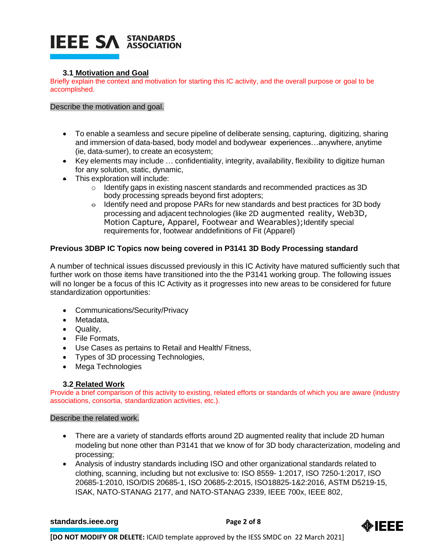# **IEEE SA STANDARDS**

# **3.1 Motivation and Goal**

Briefly explain the context and motivation for starting this IC activity, and the overall purpose or goal to be accomplished.

Describe the motivation and goal.

- To enable a seamless and secure pipeline of deliberate sensing, capturing, digitizing, sharing and immersion of data-based, body model and bodywear experiences…anywhere, anytime (ie, data-sumer), to create an ecosystem;
- Key elements may include … confidentiality, integrity, availability, flexibility to digitize human for any solution, static, dynamic,
- This exploration will include:
	- o Identify gaps in existing nascent standards and recommended practices as 3D body processing spreads beyond first adopters;
	- $\theta$  Identify need and propose PARs for new standards and best practices for 3D body processing and adjacent technologies (like 2D augmented reality, Web3D, Motion Capture, Apparel, Footwear and Wearables); Identify special requirements for, footwear anddefinitions of Fit (Apparel)

# **Previous 3DBP IC Topics now being covered in P3141 3D Body Processing standard**

A number of technical issues discussed previously in this IC Activity have matured sufficiently such that further work on those items have transitioned into the the P3141 working group. The following issues will no longer be a focus of this IC Activity as it progresses into new areas to be considered for future standardization opportunities:

- Communications/Security/Privacy
- Metadata,
- Quality,
- File Formats,
- Use Cases as pertains to Retail and Health/ Fitness,
- Types of 3D processing Technologies,
- Mega Technologies

# **3.2 Related Work**

Provide a brief comparison of this activity to existing, related efforts or standards of which you are aware (industry associations, consortia, standardization activities, etc.).

### Describe the related work.

- There are a variety of standards efforts around 2D augmented reality that include 2D human modeling but none other than P3141 that we know of for 3D body characterization, modeling and processing;
- Analysis of industry standards including ISO and other organizational standards related to clothing, scanning, including but not exclusive to: ISO 8559- 1:2017, ISO 7250-1:2017, ISO 20685-1:2010, ISO/DIS 20685-1, ISO 20685-2:2015, ISO18825-1&2:2016, ASTM D5219-15, ISAK, NATO-STANAG 2177, and NATO-STANAG 2339, IEEE 700x, IEEE 802,

# **[standards.ieee.org](http://standards.ieee.org/)**<br> **Page 2 of 8**

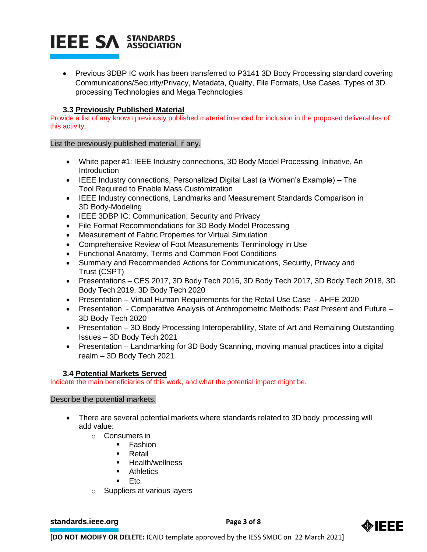# **IEEE SA STANDARDS**

• Previous 3DBP IC work has been transferred to P3141 3D Body Processing standard covering Communications/Security/Privacy, Metadata, Quality, File Formats, Use Cases, Types of 3D processing Technologies and Mega Technologies

# **3.3 Previously Published Material**

Provide a list of any known previously published material intended for inclusion in the proposed deliverables of this activity.

List the previously published material, if any.

- White paper #1: IEEE Industry connections, 3D Body Model Processing Initiative, An Introduction
- IEEE Industry connections, Personalized Digital Last (a Women's Example) The Tool Required to Enable Mass Customization
- IEEE Industry connections, Landmarks and Measurement Standards Comparison in 3D Body-Modeling
- IEEE 3DBP IC: Communication, Security and Privacy
- File Format Recommendations for 3D Body Model Processing
- Measurement of Fabric Properties for Virtual Simulation
- Comprehensive Review of Foot Measurements Terminology in Use
- Functional Anatomy, Terms and Common Foot Conditions
- Summary and Recommended Actions for Communications, Security, Privacy and Trust (CSPT)
- Presentations CES 2017, 3D Body Tech 2016, 3D Body Tech 2017, 3D Body Tech 2018, 3D Body Tech 2019, 3D Body Tech 2020
- Presentation Virtual Human Requirements for the Retail Use Case AHFE 2020
- Presentation Comparative Analysis of Anthropometric Methods: Past Present and Future 3D Body Tech 2020
- Presentation 3D Body Processing Interoperability, State of Art and Remaining Outstanding Issues – 3D Body Tech 2021
- Presentation Landmarking for 3D Body Scanning, moving manual practices into a digital realm – 3D Body Tech 2021

# **3.4 Potential Markets Served**

Indicate the main beneficiaries of this work, and what the potential impact might be.

### Describe the potential markets.

- There are several potential markets where standards related to 3D body processing will add value:
	- o Consumers in
		- Fashion
		- **Retail**
		- **Health/wellness**
		- **Athletics**
		- Etc.
	- o Suppliers at various layers

**[standards.ieee.org](http://standards.ieee.org/)**<br> **Page 3 of 8** 

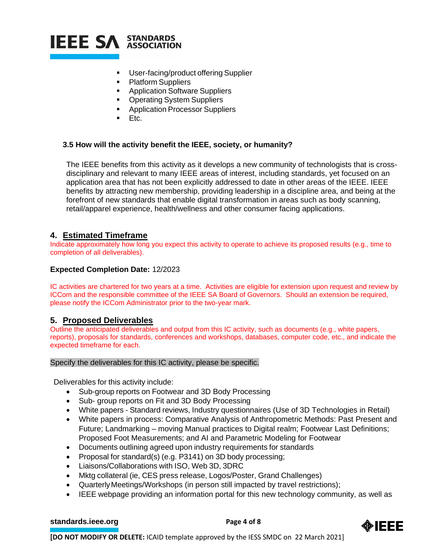

- User-facing/product offering Supplier
- Platform Suppliers
- **Application Software Suppliers**
- Operating System Suppliers
- **Application Processor Suppliers**
- Etc.

### **3.5 How will the activity benefit the IEEE, society, or humanity?**

The IEEE benefits from this activity as it develops a new community of technologists that is crossdisciplinary and relevant to many IEEE areas of interest, including standards, yet focused on an application area that has not been explicitly addressed to date in other areas of the IEEE. IEEE benefits by attracting new membership, providing leadership in a discipline area, and being at the forefront of new standards that enable digital transformation in areas such as body scanning, retail/apparel experience, health/wellness and other consumer facing applications.

# **4. Estimated Timeframe**

Indicate approximately how long you expect this activity to operate to achieve its proposed results (e.g., time to completion of all deliverables).

#### **Expected Completion Date:** 12/2023

IC activities are chartered for two years at a time. Activities are eligible for extension upon request and review by ICCom and the responsible committee of the IEEE SA Board of Governors. Should an extension be required, please notify the ICCom Administrator prior to the two-year mark.

### **5. Proposed Deliverables**

Outline the anticipated deliverables and output from this IC activity, such as documents (e.g., white papers, reports), proposals for standards, conferences and workshops, databases, computer code, etc., and indicate the expected timeframe for each.

#### Specify the deliverables for this IC activity, please be specific.

Deliverables for this activity include:

- Sub-group reports on Footwear and 3D Body Processing
- Sub- group reports on Fit and 3D Body Processing
- White papers Standard reviews, Industry questionnaires (Use of 3D Technologies in Retail)
- White papers in process: Comparative Analysis of Anthropometric Methods: Past Present and Future; Landmarking – moving Manual practices to Digital realm; Footwear Last Definitions; Proposed Foot Measurements; and AI and Parametric Modeling for Footwear
- Documents outlining agreed upon industry requirements for standards
- Proposal for standard(s) (e.g. P3141) on 3D body processing;
- Liaisons/Collaborations with ISO, Web 3D, 3DRC
- Mktg collateral (ie, CES press release, Logos/Poster, Grand Challenges)
- QuarterlyMeetings/Workshops (in person still impacted by travel restrictions);
- IEEE webpage providing an information portal for this new technology community, as well as

# **[standards.ieee.org](http://standards.ieee.org/)**<br> **Page 4 of 8**

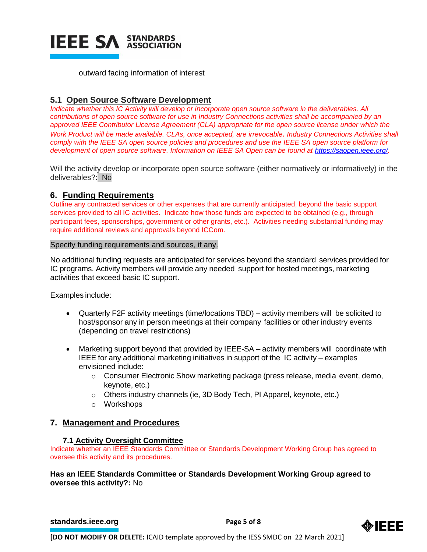

outward facing information of interest

# **5.1 Open Source Software Development**

*Indicate whether this IC Activity will develop or incorporate open source software in the deliverables. All contributions of open source software for use in Industry Connections activities shall be accompanied by an approved IEEE Contributor License Agreement (CLA) appropriate for the open source license under which the Work Product will be made available. CLAs, once accepted, are irrevocable. Industry Connections Activities shall comply with the IEEE SA open source policies and procedures and use the IEEE SA open source platform for development of open source software. Information on IEEE SA Open can be found at [https://saopen.ieee.org/.](https://saopen.ieee.org/)* 

Will the activity develop or incorporate open source software (either normatively or informatively) in the deliverables?: No

# **6. Funding Requirements**

Outline any contracted services or other expenses that are currently anticipated, beyond the basic support services provided to all IC activities. Indicate how those funds are expected to be obtained (e.g., through participant fees, sponsorships, government or other grants, etc.). Activities needing substantial funding may require additional reviews and approvals beyond ICCom.

#### Specify funding requirements and sources, if any.

No additional funding requests are anticipated for services beyond the standard services provided for IC programs. Activity members will provide any needed support for hosted meetings, marketing activities that exceed basic IC support.

Examples include:

- Quarterly F2F activity meetings (time/locations TBD) activity members will be solicited to host/sponsor any in person meetings at their company facilities or other industry events (depending on travel restrictions)
- Marketing support beyond that provided by IEEE-SA activity members will coordinate with IEEE for any additional marketing initiatives in support of the IC activity – examples envisioned include:
	- o Consumer Electronic Show marketing package (press release, media event, demo, keynote, etc.)
	- o Others industry channels (ie, 3D Body Tech, PI Apparel, keynote, etc.)
	- o Workshops

# **7. Management and Procedures**

### **7.1 Activity Oversight Committee**

Indicate whether an IEEE Standards Committee or Standards Development Working Group has agreed to oversee this activity and its procedures.

# **Has an IEEE Standards Committee or Standards Development Working Group agreed to oversee this activity?:** No

**[standards.ieee.org](http://standards.ieee.org/)**<br> **Page 5** of 8

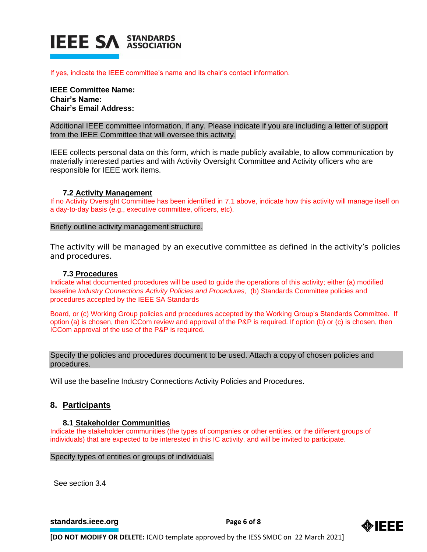

If yes, indicate the IEEE committee's name and its chair's contact information.

**IEEE Committee Name: Chair's Name: Chair's Email Address:**

Additional IEEE committee information, if any. Please indicate if you are including a letter of support from the IEEE Committee that will oversee this activity.

IEEE collects personal data on this form, which is made publicly available, to allow communication by materially interested parties and with Activity Oversight Committee and Activity officers who are responsible for IEEE work items.

#### **7.2 Activity Management**

If no Activity Oversight Committee has been identified in 7.1 above, indicate how this activity will manage itself on a day-to-day basis (e.g., executive committee, officers, etc).

Briefly outline activity management structure.

The activity will be managed by an executive committee as defined in the activity's policies and procedures.

#### **7.3 Procedures**

Indicate what documented procedures will be used to guide the operations of this activity; either (a) modified baseline *Industry Connections Activity Policies and Procedures,* (b) Standards Committee policies and procedures accepted by the IEEE SA Standards

Board, or (c) Working Group policies and procedures accepted by the Working Group's Standards Committee. If option (a) is chosen, then ICCom review and approval of the P&P is required. If option (b) or (c) is chosen, then ICCom approval of the use of the P&P is required.

Specify the policies and procedures document to be used. Attach a copy of chosen policies and procedures.

Will use the baseline Industry Connections Activity Policies and Procedures.

# **8. Participants**

#### **8.1 Stakeholder Communities**

Indicate the stakeholder communities (the types of companies or other entities, or the different groups of individuals) that are expected to be interested in this IC activity, and will be invited to participate.

Specify types of entities or groups of individuals.

See section 3.4

**[standards.ieee.org](http://standards.ieee.org/)**<br> **Page 6** of 8

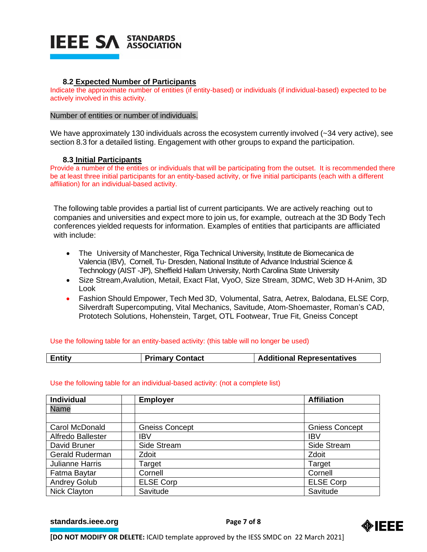

#### **8.2 Expected Number of Participants**

Indicate the approximate number of entities (if entity-based) or individuals (if individual-based) expected to be actively involved in this activity.

#### Number of entities or number of individuals.

We have approximately 130 individuals across the ecosystem currently involved (~34 very active), see section 8.3 for a detailed listing. Engagement with other groups to expand the participation.

#### **8.3 Initial Participants**

Provide a number of the entities or individuals that will be participating from the outset. It is recommended there be at least three initial participants for an entity-based activity, or five initial participants (each with a different affiliation) for an individual-based activity.

The following table provides a partial list of current participants. We are actively reaching out to companies and universities and expect more to join us, for example, outreach at the 3D Body Tech conferences yielded requests for information. Examples of entities that participants are affliciated with include:

- The University of Manchester, Riga Technical University, Institute de Biomecanica de Valencia (IBV), Cornell, Tu- Dresden, National Institute of Advance Industrial Science & Technology (AIST -JP), Sheffield Hallam University, North Carolina State University
- Size Stream,Avalution, Metail, Exact Flat, VyoO, Size Stream, 3DMC, Web 3D H-Anim, 3D Look
- Fashion Should Empower, Tech Med 3D, Volumental, Satra, Aetrex, Balodana, ELSE Corp, Silverdraft Supercomputing, Vital Mechanics, Savitude, Atom-Shoemaster, Roman's CAD, Prototech Solutions, Hohenstein, Target, OTL Footwear, True Fit, Gneiss Concept

#### Use the following table for an entity-based activity: (this table will no longer be used)

| Entity | <b>Primary Contact</b> | <b>Additional Representatives</b> |
|--------|------------------------|-----------------------------------|
|        |                        |                                   |

#### Use the following table for an individual-based activity: (not a complete list)

| <b>Individual</b>      | <b>Employer</b>       | <b>Affiliation</b>    |
|------------------------|-----------------------|-----------------------|
| <b>Name</b>            |                       |                       |
|                        |                       |                       |
| Carol McDonald         | <b>Gneiss Concept</b> | <b>Gniess Concept</b> |
| Alfredo Ballester      | <b>IBV</b>            | <b>IBV</b>            |
| David Bruner           | Side Stream           | Side Stream           |
| Gerald Ruderman        | Zdoit                 | Zdoit                 |
| <b>Julianne Harris</b> | Target                | Target                |
| Fatma Baytar           | Cornell               | Cornell               |
| <b>Andrey Golub</b>    | <b>ELSE Corp</b>      | <b>ELSE Corp</b>      |
| <b>Nick Clayton</b>    | Savitude              | Savitude              |

**[standards.ieee.org](http://standards.ieee.org/) EXECUTE: Page 7 of 8**